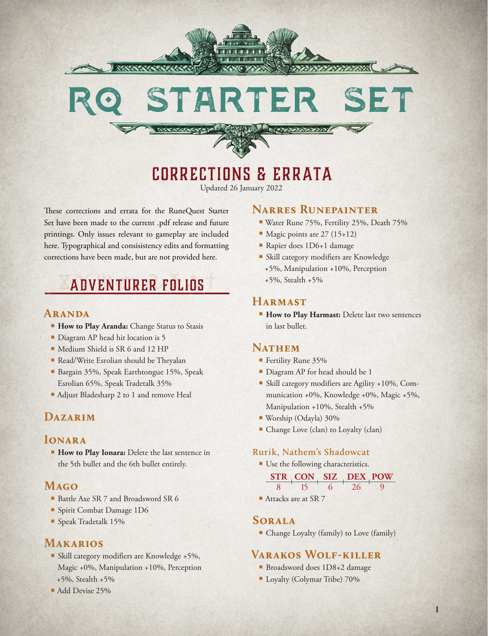

# Corrections & Errata

Updated 26 January 2022

These corrections and errata for the RuneQuest Starter Set have been made to the current .pdf release and future printings. Only issues relevant to gameplay are included here. Typographical and consisistency edits and formatting corrections have been made, but are not provided here.

# Adventurer Folios

## **Aranda**

- . **How to Play Aranda:** Change Status to Stasis
- **How to Play Aranda:** Change Sta<br>■ Diagram AP head hit location is 5 ■ Diagram AP head hit location is 5<br>■ Medium Shield is SR 6 and 12 HP
- 
- Read/Write Esrolian should be Theyalan
- . Bargain 35%, Speak Earthtongue 15%, Speak Esrolian 65%, Speak Tradetalk 35%
- Adjust Bladesharp 2 to 1 and remove Heal

## **Dazarim**

### **Ionara**

. **How to Play Ionara:** Delete the last sentence in the 5th bullet and the 6th bullet entirely.

## **Mago**

- Battle Axe SR 7 and Broadsword SR 6
- . Spirit Combat Damage 1D6
- . Speak Tradetalk 15%

## **Makarios**

- **E** Skill category modifiers are Knowledge +5%, Magic +0%, Manipulation +10%, Perception +5%, Stealth +5%
- Add Devise 25%

#### **Narres Runepainter**

- Water Rune 75%, Fertility 25%, Death 75%
- Magic points are  $27(15+12)$
- . Rapier does 1D6+1 damage
- . Skill category modifiers are Knowledge
- +5%, Manipulation +10%, Perception +5%, Stealth +5%

### **Harmast**

**How to Play Harmast:** Delete last two sentences in last bullet.

#### **Nathem**

- **Exercitive Rune 35%**
- **Diagram AP** for head should be 1
- . Skill category modifiers are Agility +10%, Communication +0%, Knowledge +0%, Magic +5%, Manipulation +10%, Stealth +5%
- .Worship (Odayla) 30%
- . Change Love (clan) to Loyalty (clan)

#### **Rurik, Nathem's Shadowcat**

**• Use the following characteristics.** 

#### **STR CON SIZ DEX POW**

- 8 15 6 26 9
- Attacks are at SR 7

#### **Sorala**

**Change Loyalty (family) to Love (family)** 

#### **Varakos Wolf-killer**

- Broadsword does 1D8+2 damage
- **Loyalty (Colymar Tribe) 70%**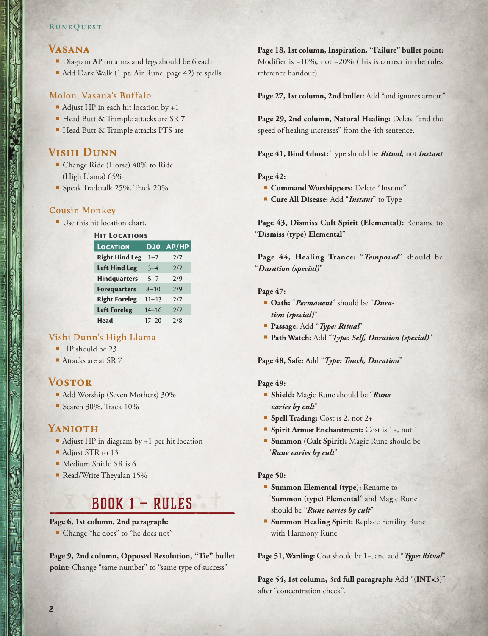#### **RUNEQUEST**

#### **Vasana**

- Diagram AP on arms and legs should be 6 each
- Add Dark Walk (1 pt, Air Rune, page 42) to spells

#### **Molon, Vasana's Buffalo**

- Adjust HP in each hit location by  $+1$
- Head Butt & Trample attacks are SR 7
- . Head Butt & Trample attacks PTS are —

#### **Vishi Dunn**

- Change Ride (Horse) 40% to Ride (High Llama) 65%
- . Speak Tradetalk 25%, Track 20%

#### **Cousin Monkey**

**AKRO** 

Use this hit location chart.

| <b>HIT LOCATIONS</b>  |            |       |  |
|-----------------------|------------|-------|--|
| <b>LOCATION</b>       | <b>D20</b> | AP/HP |  |
| <b>Right Hind Leg</b> | $1 - 2$    | 2/7   |  |
| <b>Left Hind Leg</b>  | $3 - 4$    | 2/7   |  |
| <b>Hindquarters</b>   | $5 - 7$    | 2/9   |  |
| <b>Forequarters</b>   | $8 - 10$   | 2/9   |  |
| <b>Right Foreleg</b>  | $11 - 13$  | 2/7   |  |
| <b>Left Foreleg</b>   | $14 - 16$  | 2/7   |  |
| Head                  | $17 - 20$  | 2/8   |  |

# **Vishi Dunn's High Llama** . HP should be 23

- $\blacksquare$  HP should be 23<br> $\blacksquare$  Attacks are at SR 7
- 

### **Vostor**

- Add Worship (Seven Mothers) 30%
- Search 30%, Track 10%

### **Yanioth**

- **ANIOTH**<br>■ Adjust HP in diagram by +1 per hit location Adjust HP in diag<br>• Adjust STR to 13
- 
- Adjust STR to 13<br>• Medium Shield SR is 6
- . Read/Write Theyalan 15%

## Book 1 – Rules

#### **Page 6, 1st column, 2nd paragraph:**

. Change "he does" to "he does not"

**Page 9, 2nd column, Opposed Resolution, "Tie" bullet**  point: Change "same number" to "same type of success"

**Page 18, 1st column, Inspiration, "Failure" bullet point:**  Modifier is −10%, not −20% (this is correct in the rules reference handout)

Page 27, 1st column, 2nd bullet: Add "and ignores armor."

Page 29, 2nd column, Natural Healing: Delete "and the speed of healing increases" from the 4th sentence.

**Page 41, Bind Ghost:** Type should be *Ritual*, not *Instant*

#### **Page 42:**

- . **Command Worshippers:** Delete "Instant"
- . **Cure All Disease:** Add "*Instant*" to Type

**Page 43, Dismiss Cult Spirit (Elemental):** Rename to "**Dismiss (type) Elemental**"

**Page 44, Healing Trance:** "*Temporal*" should be "*Duration (special)*"

#### **Page 47:**

- . **Oath:** "*Permanent*" should be "*Duration (special)*"
- . **Passage:** Add "*Type: Ritual*"
- . **Path Watch:** Add "*Type: Self, Duration (special)*"

**Page 48, Safe:** Add "*Type: Touch, Duration*"

#### **Page 49:**

- . **Shield:** Magic Rune should be "*Rune varies by cult*"
- . **Spell Trading:** Cost is 2, not 2+
- . **Spirit Armor Enchantment:** Cost is 1+, not 1
- . **Summon (Cult Spirit):** Magic Rune should be "*Rune varies by cult*"

#### **Page 50:**

- **Example 1** Summon Elemental (type): Rename to "**Summon (type) Elemental**" and Magic Rune should be "*Rune varies by cult*"
- . **Summon Healing Spirit:** Replace Fertility Rune with Harmony Rune

**Page 51, Warding:** Cost should be 1+, and add "*Type: Ritual*"

**Page 54, 1st column, 3rd full paragraph:** Add "(**INT×3**)" after "concentration check".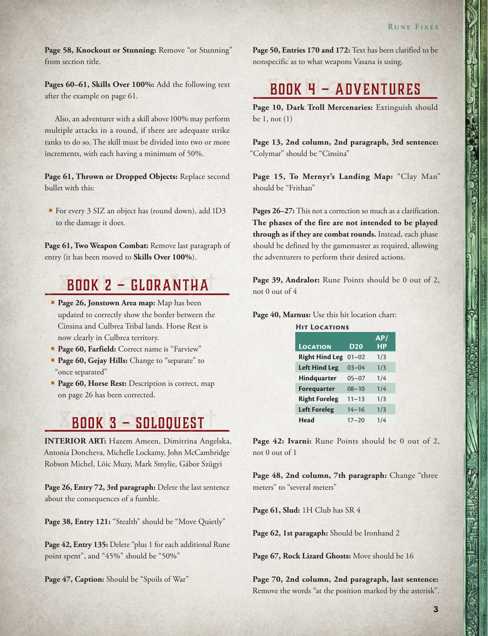**Oscrescop WAY** 

Page 58, Knockout or Stunning: Remove "or Stunning" from section title.

Pages 60-61, Skills Over 100%: Add the following text after the example on page 61.

Also, an adventurer with a skill above 100% may perform multiple attacks in a round, if there are adequate strike ranks to do so. The skill must be divided into two or more increments, with each having a minimum of 50%.

**Page 61, Thrown or Dropped Objects:** Replace second bullet with this:

. For every 3 SIZ an object has (round down), add 1D3 to the damage it does.

Page 61, Two Weapon Combat: Remove last paragraph of entry (it has been moved to **Skills Over 100%**).

## Book 2 – Glorantha

- . **Page 26, Jonstown Area map:** Map has been updated to correctly show the border between the Cinsina and Culbrea Tribal lands. Horse Rest is now clearly in Culbrea territory.
- . **Page 60, Farfield:** Correct name is "Farview"
- **Page 60, Gejay Hills:** Change to "separate" to "once separated"
- . **Page 60, Horse Rest:** Description is correct, map on page 26 has been corrected.

## Book 3 – SoloQuest

**INTERIOR ART:** Hazem Ameen, Dimitrina Angelska, Antonia Doncheva, Michelle Lockamy, John McCambridge Robson Michel, Löic Muzy, Mark Smylie, Gábor Szügyi

Page 26, Entry 72, 3rd paragraph: Delete the last sentence about the consequences of a fumble.

Page 38, Entry 121: "Stealth" should be "Move Quietly"

Page 42, Entry 135: Delete "plus 1 for each additional Rune point spent", and "45%" should be "50%"

Page 47, Caption: Should be "Spoils of War"

Page 50, Entries 170 and 172: Text has been clarified to be nonspecific as to what weapons Vasana is using.

## Book 4 – Adventures

Page 10, Dark Troll Mercenaries: Extinguish should be 1, not (1)

**Page 13, 2nd column, 2nd paragraph, 3rd sentence:**  "Colymar" should be "Cinsina"

**Page 15, To Mernyr's Landing Map:** "Clay Man" should be "Frithan"

**Pages 26–27:** This not a correction so much as a clarification. **The phases of the fire are not intended to be played through as if they are combat rounds.** Instead, each phase should be defined by the gamemaster as required, allowing the adventurers to perform their desired actions.

Page 39, Andralor: Rune Points should be 0 out of 2, not 0 out of 4

**Page 40, Marnus:** Use this hit location chart:

| <b>HIT LOCATIONS</b> |           |  |
|----------------------|-----------|--|
| <b>D20</b>           | AP/<br>НP |  |
| $01 - 02$            | 1/3       |  |
| $03 - 04$            | 1/3       |  |
| $05 - 07$            | 1/4       |  |
| $08 - 10$            | 1/4       |  |
| $11 - 13$            | 1/3       |  |
| $14 - 16$            | 1/3       |  |
| $17 - 20$            | 1/4       |  |
|                      |           |  |

Page 42: Ivarni: Rune Points should be 0 out of 2, not 0 out of 1

Page 48, 2nd column, 7th paragraph: Change "three meters" to "several meters"

**Page 61, Slud:** 1H Club has SR 4

Page 62, 1st paragaph: Should be Ironhand 2

Page 67, Rock Lizard Ghosts: Move should be 16

**Page 70, 2nd column, 2nd paragraph, last sentence:**  Remove the words "at the position marked by the asterisk".